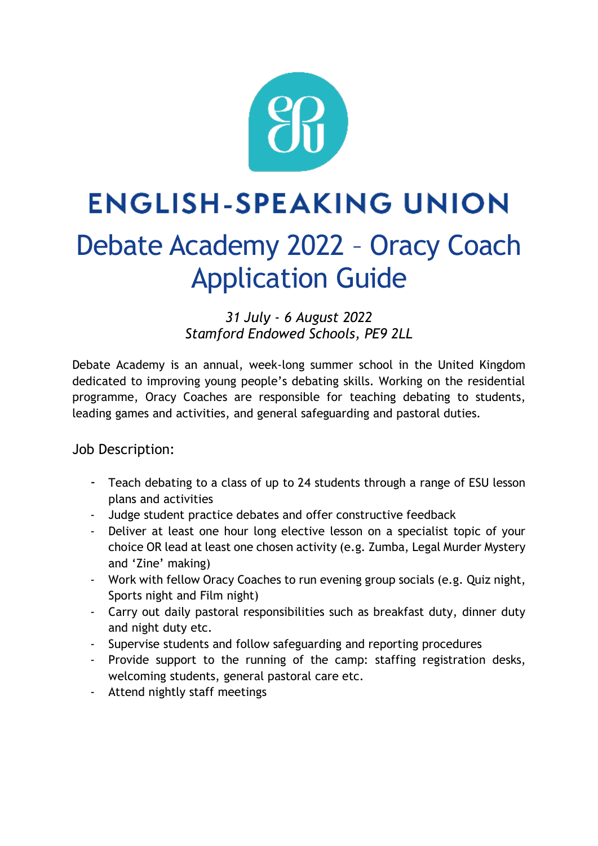

# **ENGLISH-SPEAKING UNION** Debate Academy 2022 – Oracy Coach Application Guide

*31 July - 6 August 2022 Stamford Endowed Schools, PE9 2LL*

Debate Academy is an annual, week-long summer school in the United Kingdom dedicated to improving young people's debating skills. Working on the residential programme, Oracy Coaches are responsible for teaching debating to students, leading games and activities, and general safeguarding and pastoral duties.

### Job Description:

- Teach debating to a class of up to 24 students through a range of ESU lesson plans and activities
- Judge student practice debates and offer constructive feedback
- Deliver at least one hour long elective lesson on a specialist topic of your choice OR lead at least one chosen activity (e.g. Zumba, Legal Murder Mystery and 'Zine' making)
- Work with fellow Oracy Coaches to run evening group socials (e.g. Quiz night, Sports night and Film night)
- Carry out daily pastoral responsibilities such as breakfast duty, dinner duty and night duty etc.
- Supervise students and follow safeguarding and reporting procedures
- Provide support to the running of the camp: staffing registration desks, welcoming students, general pastoral care etc.
- Attend nightly staff meetings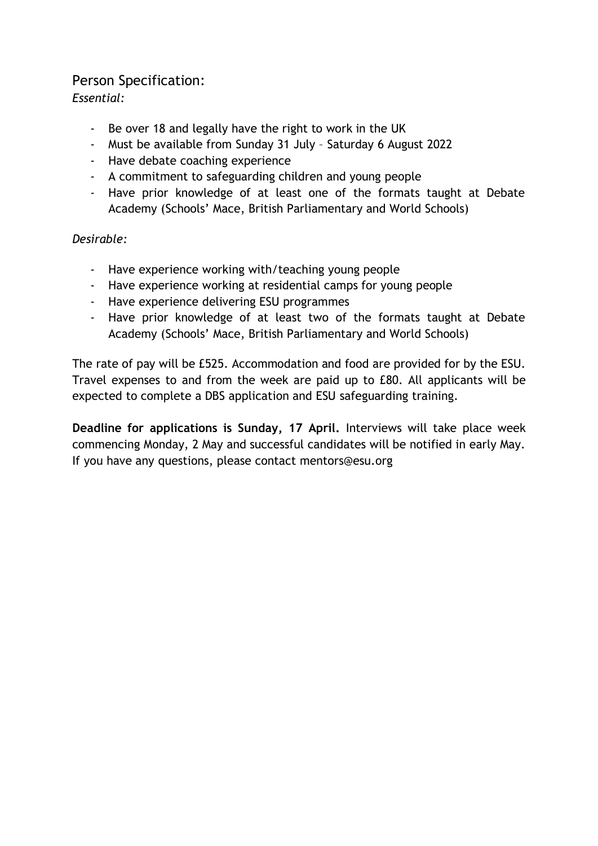### Person Specification:

*Essential:*

- Be over 18 and legally have the right to work in the UK
- Must be available from Sunday 31 July Saturday 6 August 2022
- Have debate coaching experience
- A commitment to safeguarding children and young people
- Have prior knowledge of at least one of the formats taught at Debate Academy (Schools' Mace, British Parliamentary and World Schools)

#### *Desirable:*

- Have experience working with/teaching young people
- Have experience working at residential camps for young people
- Have experience delivering ESU programmes
- Have prior knowledge of at least two of the formats taught at Debate Academy (Schools' Mace, British Parliamentary and World Schools)

The rate of pay will be £525. Accommodation and food are provided for by the ESU. Travel expenses to and from the week are paid up to £80. All applicants will be expected to complete a DBS application and ESU safeguarding training.

**Deadline for applications is Sunday, 17 April.** Interviews will take place week commencing Monday, 2 May and successful candidates will be notified in early May. If you have any questions, please contact mentors@esu.org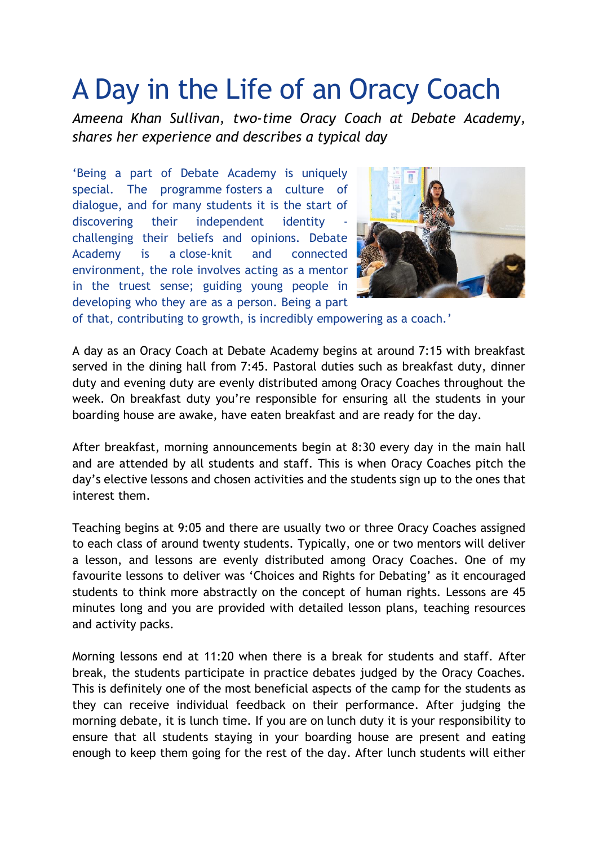## A Day in the Life of an Oracy Coach

*Ameena Khan Sullivan, two-time Oracy Coach at Debate Academy, shares her experience and describes a typical day*

'Being a part of Debate Academy is uniquely special. The programme fosters a culture of dialogue, and for many students it is the start of discovering their independent identity challenging their beliefs and opinions. Debate Academy is a close-knit and connected environment, the role involves acting as a mentor in the truest sense; guiding young people in developing who they are as a person. Being a part



of that, contributing to growth, is incredibly empowering as a coach.'

A day as an Oracy Coach at Debate Academy begins at around 7:15 with breakfast served in the dining hall from 7:45. Pastoral duties such as breakfast duty, dinner duty and evening duty are evenly distributed among Oracy Coaches throughout the week. On breakfast duty you're responsible for ensuring all the students in your boarding house are awake, have eaten breakfast and are ready for the day.

After breakfast, morning announcements begin at 8:30 every day in the main hall and are attended by all students and staff. This is when Oracy Coaches pitch the day's elective lessons and chosen activities and the students sign up to the ones that interest them.

Teaching begins at 9:05 and there are usually two or three Oracy Coaches assigned to each class of around twenty students. Typically, one or two mentors will deliver a lesson, and lessons are evenly distributed among Oracy Coaches. One of my favourite lessons to deliver was 'Choices and Rights for Debating' as it encouraged students to think more abstractly on the concept of human rights. Lessons are 45 minutes long and you are provided with detailed lesson plans, teaching resources and activity packs.

Morning lessons end at 11:20 when there is a break for students and staff. After break, the students participate in practice debates judged by the Oracy Coaches. This is definitely one of the most beneficial aspects of the camp for the students as they can receive individual feedback on their performance. After judging the morning debate, it is lunch time. If you are on lunch duty it is your responsibility to ensure that all students staying in your boarding house are present and eating enough to keep them going for the rest of the day. After lunch students will either